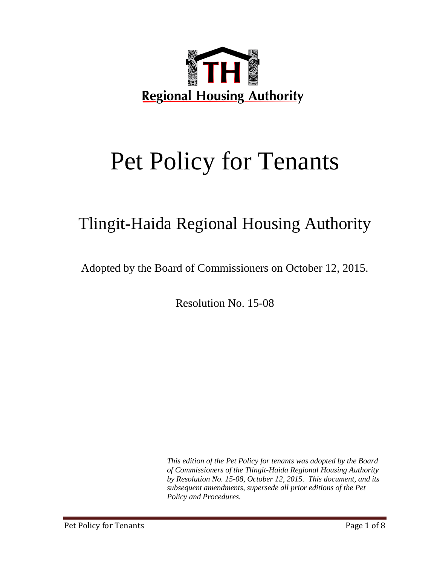

# Pet Policy for Tenants

# Tlingit-Haida Regional Housing Authority

Adopted by the Board of Commissioners on October 12, 2015.

Resolution No. 15-08

*This edition of the Pet Policy for tenants was adopted by the Board of Commissioners of the Tlingit-Haida Regional Housing Authority by Resolution No. 15-08, October 12, 2015. This document, and its subsequent amendments, supersede all prior editions of the Pet Policy and Procedures.*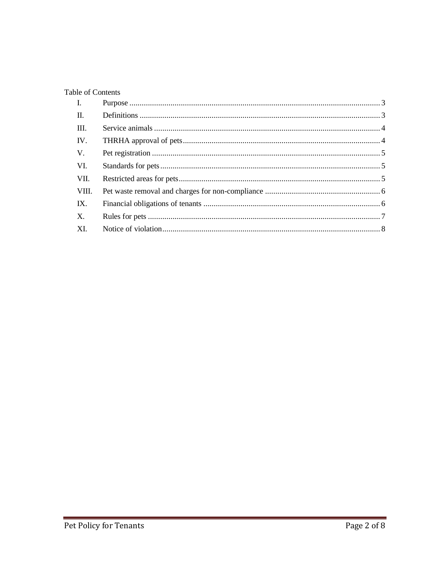#### Table of Contents

| $\mathbf{I}$ . |  |
|----------------|--|
| П.             |  |
| III.           |  |
| IV.            |  |
| V.             |  |
| VI.            |  |
| VII.           |  |
| VIII.          |  |
| IX.            |  |
| X.             |  |
| XI.            |  |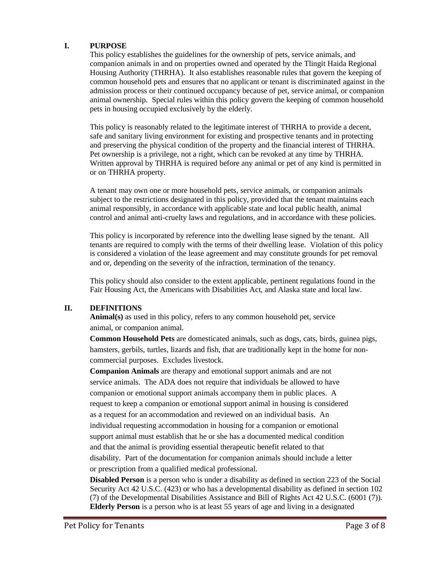#### **I. PURPOSE**

This policy establishes the guidelines for the ownership of pets, service animals, and companion animals in and on properties owned and operated by the Tlingit Haida Regional Housing Authority (THRHA). It also establishes reasonable rules that govern the keeping of common household pets and ensures that no applicant or tenant is discriminated against in the admission process or their continued occupancy because of pet, service animal, or companion animal ownership. Special rules within this policy govern the keeping of common household pets in housing occupied exclusively by the elderly.

This policy is reasonably related to the legitimate interest of THRHA to provide a decent, safe and sanitary living environment for existing and prospective tenants and in protecting and preserving the physical condition of the property and the financial interest of THRHA. Pet ownership is a privilege, not a right, which can be revoked at any time by THRHA. Written approval by THRHA is required before any animal or pet of any kind is permitted in or on THRHA property.

A tenant may own one or more household pets, service animals, or companion animals subject to the restrictions designated in this policy, provided that the tenant maintains each animal responsibly, in accordance with applicable state and local public health, animal control and animal anti-cruelty laws and regulations, and in accordance with these policies.

This policy is incorporated by reference into the dwelling lease signed by the tenant. All tenants are required to comply with the terms of their dwelling lease. Violation of this policy is considered a violation of the lease agreement and may constitute grounds for pet removal and or, depending on the severity of the infraction, termination of the tenancy.

This policy should also consider to the extent applicable, pertinent regulations found in the Fair Housing Act, the Americans with Disabilities Act, and Alaska state and local law.

#### **II. DEFINITIONS**

**Animal(s)** as used in this policy, refers to any common household pet, service animal, or companion animal.

**Common Household Pets** are domesticated animals, such as dogs, cats, birds, guinea pigs, hamsters, gerbils, turtles, lizards and fish, that are traditionally kept in the home for noncommercial purposes. Excludes livestock.

**Companion Animals** are therapy and emotional support animals and are not service animals. The ADA does not require that individuals be allowed to have companion or emotional support animals accompany them in public places. A request to keep a companion or emotional support animal in housing is considered as a request for an accommodation and reviewed on an individual basis. An individual requesting accommodation in housing for a companion or emotional support animal must establish that he or she has a documented medical condition and that the animal is providing essential therapeutic benefit related to that disability. Part of the documentation for companion animals should include a letter or prescription from a qualified medical professional.

**Disabled Person** is a person who is under a disability as defined in section 223 of the Social Security Act 42 U.S.C. (423) or who has a developmental disability as defined in section 102 (7) of the Developmental Disabilities Assistance and Bill of Rights Act 42 U.S.C. (6001 (7)). **Elderly Person** is a person who is at least 55 years of age and living in a designated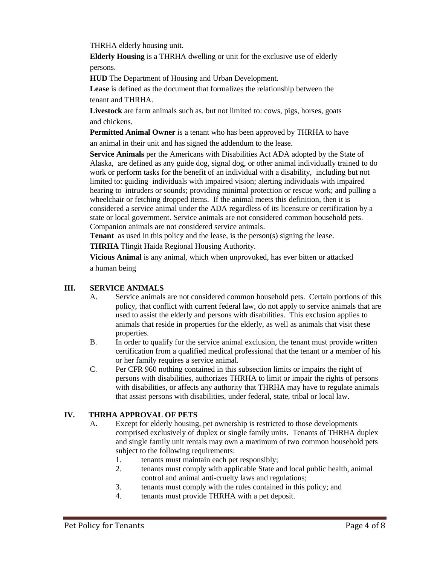THRHA elderly housing unit.

**Elderly Housing** is a THRHA dwelling or unit for the exclusive use of elderly persons.

**HUD** The Department of Housing and Urban Development.

**Lease** is defined as the document that formalizes the relationship between the tenant and THRHA.

**Livestock** are farm animals such as, but not limited to: cows, pigs, horses, goats and chickens.

**Permitted Animal Owner** is a tenant who has been approved by THRHA to have an animal in their unit and has signed the addendum to the lease.

**Service Animals** per the Americans with Disabilities Act ADA adopted by the State of Alaska, are defined as any guide dog, signal dog, or other animal individually trained to do work or perform tasks for the benefit of an individual with a disability, including but not limited to: guiding individuals with impaired vision; alerting individuals with impaired hearing to intruders or sounds; providing minimal protection or rescue work; and pulling a wheelchair or fetching dropped items. If the animal meets this definition, then it is considered a service animal under the ADA regardless of its licensure or certification by a state or local government. Service animals are not considered common household pets. Companion animals are not considered service animals.

**Tenant** as used in this policy and the lease, is the person(s) signing the lease.

**THRHA** Tlingit Haida Regional Housing Authority.

**Vicious Animal** is any animal, which when unprovoked, has ever bitten or attacked a human being

#### **III. SERVICE ANIMALS**

- A. Service animals are not considered common household pets.Certain portions of this policy, that conflict with current federal law, do not apply to service animals that are used to assist the elderly and persons with disabilities. This exclusion applies to animals that reside in properties for the elderly, as well as animals that visit these properties.
- B. In order to qualify for the service animal exclusion, the tenant must provide written certification from a qualified medical professional that the tenant or a member of his or her family requires a service animal.
- C. Per CFR 960 nothing contained in this subsection limits or impairs the right of persons with disabilities, authorizes THRHA to limit or impair the rights of persons with disabilities, or affects any authority that THRHA may have to regulate animals that assist persons with disabilities, under federal, state, tribal or local law.

#### **IV. THRHA APPROVAL OF PETS**

- A. Except for elderly housing, pet ownership is restricted to those developments comprised exclusively of duplex or single family units. Tenants of THRHA duplex and single family unit rentals may own a maximum of two common household pets subject to the following requirements:
	- 1. tenants must maintain each pet responsibly;
	- 2. tenants must comply with applicable State and local public health, animal control and animal anti-cruelty laws and regulations;
	- 3. tenants must comply with the rules contained in this policy; and
	- 4. tenants must provide THRHA with a pet deposit.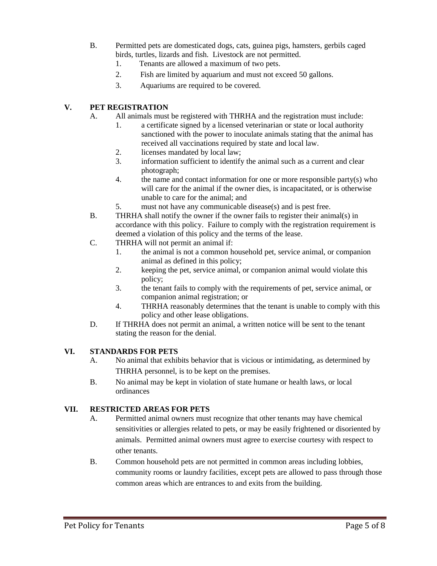- B. Permitted pets are domesticated dogs, cats, guinea pigs, hamsters, gerbils caged birds, turtles, lizards and fish. Livestock are not permitted.
	- 1. Tenants are allowed a maximum of two pets.
	- 2. Fish are limited by aquarium and must not exceed 50 gallons.
	- 3. Aquariums are required to be covered.

#### **V. PET REGISTRATION**

- A. All animals must be registered with THRHA and the registration must include:
	- 1. a certificate signed by a licensed veterinarian or state or local authority sanctioned with the power to inoculate animals stating that the animal has received all vaccinations required by state and local law.
	- 2. licenses mandated by local law;
	- 3. information sufficient to identify the animal such as a current and clear photograph;
	- 4. the name and contact information for one or more responsible party(s) who will care for the animal if the owner dies, is incapacitated, or is otherwise unable to care for the animal; and
	- 5. must not have any communicable disease(s) and is pest free.
- B. THRHA shall notify the owner if the owner fails to register their animal(s) in accordance with this policy. Failure to comply with the registration requirement is deemed a violation of this policy and the terms of the lease.
- C. THRHA will not permit an animal if:
	- 1. the animal is not a common household pet, service animal, or companion animal as defined in this policy;
	- 2. keeping the pet, service animal, or companion animal would violate this policy;
	- 3. the tenant fails to comply with the requirements of pet, service animal, or companion animal registration; or
	- 4. THRHA reasonably determines that the tenant is unable to comply with this policy and other lease obligations.
- D. If THRHA does not permit an animal, a written notice will be sent to the tenant stating the reason for the denial.

#### **VI. STANDARDS FOR PETS**

- A. No animal that exhibits behavior that is vicious or intimidating, as determined by THRHA personnel, is to be kept on the premises.
- B. No animal may be kept in violation of state humane or health laws, or local ordinances

#### **VII. RESTRICTED AREAS FOR PETS**

- A. Permitted animal owners must recognize that other tenants may have chemical sensitivities or allergies related to pets, or may be easily frightened or disoriented by animals. Permitted animal owners must agree to exercise courtesy with respect to other tenants.
- B. Common household pets are not permitted in common areas including lobbies, community rooms or laundry facilities, except pets are allowed to pass through those common areas which are entrances to and exits from the building.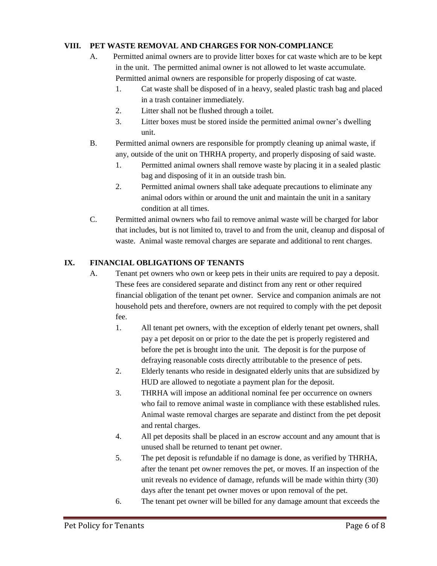#### **VIII. PET WASTE REMOVAL AND CHARGES FOR NON-COMPLIANCE**

- A. Permitted animal owners are to provide litter boxes for cat waste which are to be kept in the unit. The permitted animal owner is not allowed to let waste accumulate. Permitted animal owners are responsible for properly disposing of cat waste.
	- 1. Cat waste shall be disposed of in a heavy, sealed plastic trash bag and placed in a trash container immediately.
	- 2. Litter shall not be flushed through a toilet.
	- 3. Litter boxes must be stored inside the permitted animal owner's dwelling unit.
- B. Permitted animal owners are responsible for promptly cleaning up animal waste, if any, outside of the unit on THRHA property, and properly disposing of said waste.
	- 1. Permitted animal owners shall remove waste by placing it in a sealed plastic bag and disposing of it in an outside trash bin.
	- 2. Permitted animal owners shall take adequate precautions to eliminate any animal odors within or around the unit and maintain the unit in a sanitary condition at all times.
- C. Permitted animal owners who fail to remove animal waste will be charged for labor that includes, but is not limited to, travel to and from the unit, cleanup and disposal of waste. Animal waste removal charges are separate and additional to rent charges.

#### **IX. FINANCIAL OBLIGATIONS OF TENANTS**

- A. Tenant pet owners who own or keep pets in their units are required to pay a deposit. These fees are considered separate and distinct from any rent or other required financial obligation of the tenant pet owner. Service and companion animals are not household pets and therefore, owners are not required to comply with the pet deposit fee.
	- 1. All tenant pet owners, with the exception of elderly tenant pet owners, shall pay a pet deposit on or prior to the date the pet is properly registered and before the pet is brought into the unit. The deposit is for the purpose of defraying reasonable costs directly attributable to the presence of pets.
	- 2. Elderly tenants who reside in designated elderly units that are subsidized by HUD are allowed to negotiate a payment plan for the deposit.
	- 3. THRHA will impose an additional nominal fee per occurrence on owners who fail to remove animal waste in compliance with these established rules. Animal waste removal charges are separate and distinct from the pet deposit and rental charges.
	- 4. All pet deposits shall be placed in an escrow account and any amount that is unused shall be returned to tenant pet owner.
	- 5. The pet deposit is refundable if no damage is done, as verified by THRHA, after the tenant pet owner removes the pet, or moves. If an inspection of the unit reveals no evidence of damage, refunds will be made within thirty (30) days after the tenant pet owner moves or upon removal of the pet.
	- 6. The tenant pet owner will be billed for any damage amount that exceeds the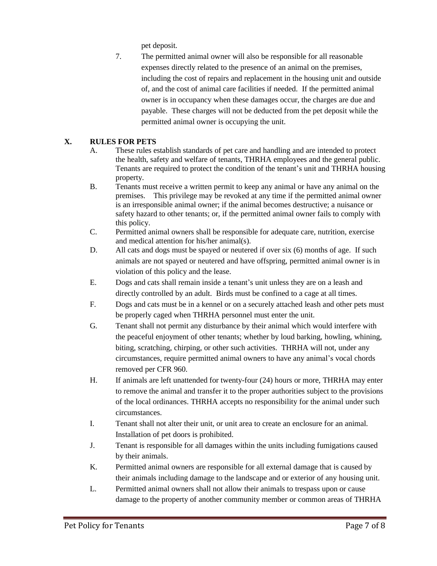pet deposit.

7. The permitted animal owner will also be responsible for all reasonable expenses directly related to the presence of an animal on the premises, including the cost of repairs and replacement in the housing unit and outside of, and the cost of animal care facilities if needed. If the permitted animal owner is in occupancy when these damages occur, the charges are due and payable. These charges will not be deducted from the pet deposit while the permitted animal owner is occupying the unit.

## **X. RULES FOR PETS**

- A. These rules establish standards of pet care and handling and are intended to protect the health, safety and welfare of tenants, THRHA employees and the general public. Tenants are required to protect the condition of the tenant's unit and THRHA housing property.
- B. Tenants must receive a written permit to keep any animal or have any animal on the premises. This privilege may be revoked at any time if the permitted animal owner is an irresponsible animal owner; if the animal becomes destructive; a nuisance or safety hazard to other tenants; or, if the permitted animal owner fails to comply with this policy.
- C. Permitted animal owners shall be responsible for adequate care, nutrition, exercise and medical attention for his/her animal(s).
- D. All cats and dogs must be spayed or neutered if over six (6) months of age. If such animals are not spayed or neutered and have offspring, permitted animal owner is in violation of this policy and the lease.
- E. Dogs and cats shall remain inside a tenant's unit unless they are on a leash and directly controlled by an adult. Birds must be confined to a cage at all times.
- F. Dogs and cats must be in a kennel or on a securely attached leash and other pets must be properly caged when THRHA personnel must enter the unit.
- G. Tenant shall not permit any disturbance by their animal which would interfere with the peaceful enjoyment of other tenants; whether by loud barking, howling, whining, biting, scratching, chirping, or other such activities. THRHA will not, under any circumstances, require permitted animal owners to have any animal's vocal chords removed per CFR 960.
- H. If animals are left unattended for twenty-four (24) hours or more, THRHA may enter to remove the animal and transfer it to the proper authorities subject to the provisions of the local ordinances. THRHA accepts no responsibility for the animal under such circumstances.
- I. Tenant shall not alter their unit, or unit area to create an enclosure for an animal. Installation of pet doors is prohibited.
- J. Tenant is responsible for all damages within the units including fumigations caused by their animals.
- K. Permitted animal owners are responsible for all external damage that is caused by their animals including damage to the landscape and or exterior of any housing unit.
- L. Permitted animal owners shall not allow their animals to trespass upon or cause damage to the property of another community member or common areas of THRHA